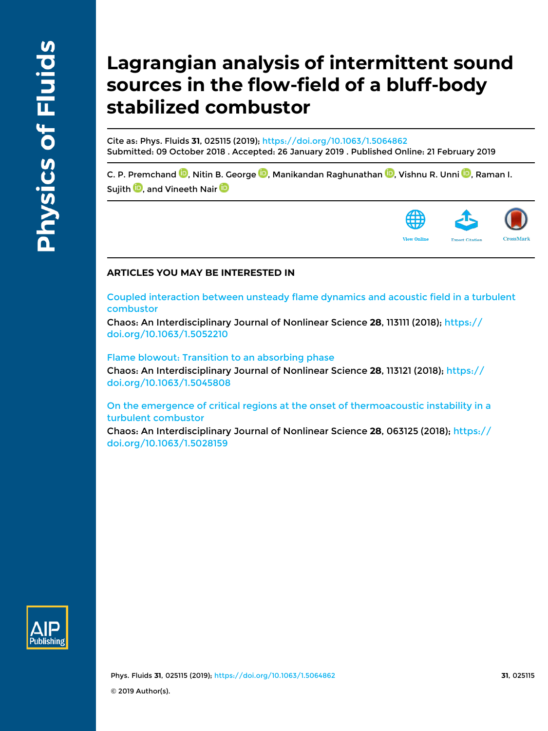# **Lagrangian analysis of intermittent sound sources in the flow-field of a bluff-body stabilized combustor**

Cite as: Phys. Fluids **31**, 025115 (2019); https://doi.org/10.1063/1.5064862 Submitted: 09 October 2018 . Accepted: 26 January 2019 . Published Online: 21 February 2019

C. P. Premchand  $\mathbf{\mathbb{D}}$ , Nitin B. George  $\mathbf{\mathbb{D}}$ , Manikandan Raghunathan  $\mathbf{\mathbb{D}}$ , Vishnu R. Unni  $\mathbf{\mathbb{D}}$ , Raman I. Sujith  $\blacksquare$ , and Vineeth Nair  $\blacksquare$ 



# **ARTICLES YOU MAY BE INTERESTED IN**

Coupled interaction between unsteady flame dynamics and acoustic field in a turbulent combustor

Chaos: An Interdisciplinary Journal of Nonlinear Science **28**, 113111 (2018); https:// doi.org/10.1063/1.5052210

# Flame blowout: Transition to an absorbing phase

Chaos: An Interdisciplinary Journal of Nonlinear Science **28**, 113121 (2018); https:// doi.org/10.1063/1.5045808

On the emergence of critical regions at the onset of thermoacoustic instability in a turbulent combustor

Chaos: An Interdisciplinary Journal of Nonlinear Science **28**, 063125 (2018); https:// doi.org/10.1063/1.5028159

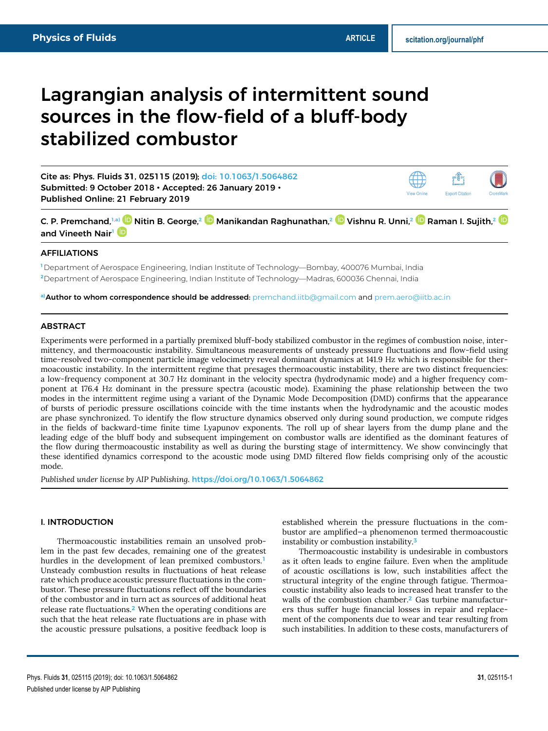# Lagrangian analysis of intermittent sound sources in the flow-field of a bluff-body stabilized combustor

Cite as: Phys. Fluids **31**, 025115 (2019); doi: 10.1063/1.5064862 Submitted: 9 October 2018 • Accepted: 26 January 2019 • Published Online: 21 February 2019

**Export Citation** View Online

C. P. Premchand,<sup>1,a)</sup> D. Nitin B. George,<sup>2</sup> D. Manikandan Raghunathan,<sup>2</sup> D. Vishnu R. Unni,<sup>2</sup> D. Raman I. Sujith,<sup>2</sup> D. and Vineeth Nair<sup>1</sup>

# AFFILIATIONS

**<sup>1</sup>** Department of Aerospace Engineering, Indian Institute of Technology—Bombay, 400076 Mumbai, India **<sup>2</sup>**Department of Aerospace Engineering, Indian Institute of Technology—Madras, 600036 Chennai, India

**a)**Author to whom correspondence should be addressed: premchand.iitb@gmail.com and prem.aero@iitb.ac.in

# ABSTRACT

Experiments were performed in a partially premixed bluff-body stabilized combustor in the regimes of combustion noise, intermittency, and thermoacoustic instability. Simultaneous measurements of unsteady pressure fluctuations and flow-field using time-resolved two-component particle image velocimetry reveal dominant dynamics at 141.9 Hz which is responsible for thermoacoustic instability. In the intermittent regime that presages thermoacoustic instability, there are two distinct frequencies: a low-frequency component at 30.7 Hz dominant in the velocity spectra (hydrodynamic mode) and a higher frequency component at 176.4 Hz dominant in the pressure spectra (acoustic mode). Examining the phase relationship between the two modes in the intermittent regime using a variant of the Dynamic Mode Decomposition (DMD) confirms that the appearance of bursts of periodic pressure oscillations coincide with the time instants when the hydrodynamic and the acoustic modes are phase synchronized. To identify the flow structure dynamics observed only during sound production, we compute ridges in the fields of backward-time finite time Lyapunov exponents. The roll up of shear layers from the dump plane and the leading edge of the bluff body and subsequent impingement on combustor walls are identified as the dominant features of the flow during thermoacoustic instability as well as during the bursting stage of intermittency. We show convincingly that these identified dynamics correspond to the acoustic mode using DMD filtered flow fields comprising only of the acoustic mode.

*Published under license by AIP Publishing.* https://doi.org/10.1063/1.5064862

# I. INTRODUCTION

Thermoacoustic instabilities remain an unsolved problem in the past few decades, remaining one of the greatest hurdles in the development of lean premixed combustors.<sup>1</sup> Unsteady combustion results in fluctuations of heat release rate which produce acoustic pressure fluctuations in the combustor. These pressure fluctuations reflect off the boundaries of the combustor and in turn act as sources of additional heat release rate fluctuations.<sup>2</sup> When the operating conditions are such that the heat release rate fluctuations are in phase with the acoustic pressure pulsations, a positive feedback loop is

established wherein the pressure fluctuations in the combustor are amplified—a phenomenon termed thermoacoustic instability or combustion instability.<sup>3</sup>

Thermoacoustic instability is undesirable in combustors as it often leads to engine failure. Even when the amplitude of acoustic oscillations is low, such instabilities affect the structural integrity of the engine through fatigue. Thermoacoustic instability also leads to increased heat transfer to the walls of the combustion chamber.<sup>2</sup> Gas turbine manufacturers thus suffer huge financial losses in repair and replacement of the components due to wear and tear resulting from such instabilities. In addition to these costs, manufacturers of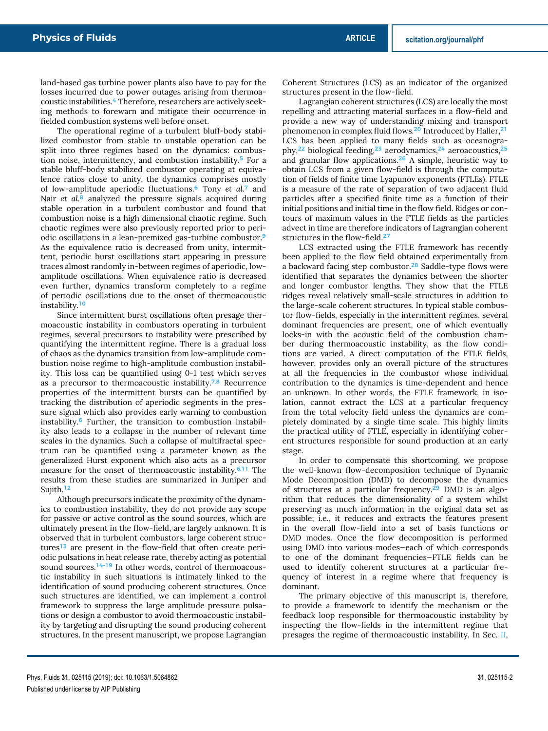land-based gas turbine power plants also have to pay for the losses incurred due to power outages arising from thermoacoustic instabilities.<sup>4</sup> Therefore, researchers are actively seeking methods to forewarn and mitigate their occurrence in fielded combustion systems well before onset.

The operational regime of a turbulent bluff-body stabilized combustor from stable to unstable operation can be split into three regimes based on the dynamics: combustion noise, intermittency, and combustion instability.<sup>5</sup> For a stable bluff-body stabilized combustor operating at equivalence ratios close to unity, the dynamics comprises mostly of low-amplitude aperiodic fluctuations.<sup>6</sup> Tony *et al.*<sup>7</sup> and Nair *et al.*<sup>8</sup> analyzed the pressure signals acquired during stable operation in a turbulent combustor and found that combustion noise is a high dimensional chaotic regime. Such chaotic regimes were also previously reported prior to periodic oscillations in a lean-premixed gas-turbine combustor.<sup>9</sup> As the equivalence ratio is decreased from unity, intermittent, periodic burst oscillations start appearing in pressure traces almost randomly in-between regimes of aperiodic, lowamplitude oscillations. When equivalence ratio is decreased even further, dynamics transform completely to a regime of periodic oscillations due to the onset of thermoacoustic instability.<sup>10</sup>

Since intermittent burst oscillations often presage thermoacoustic instability in combustors operating in turbulent regimes, several precursors to instability were prescribed by quantifying the intermittent regime. There is a gradual loss of chaos as the dynamics transition from low-amplitude combustion noise regime to high-amplitude combustion instability. This loss can be quantified using 0-1 test which serves as a precursor to thermoacoustic instability.7,8 Recurrence properties of the intermittent bursts can be quantified by tracking the distribution of aperiodic segments in the pressure signal which also provides early warning to combustion instability.<sup>6</sup> Further, the transition to combustion instability also leads to a collapse in the number of relevant time scales in the dynamics. Such a collapse of multifractal spectrum can be quantified using a parameter known as the generalized Hurst exponent which also acts as a precursor measure for the onset of thermoacoustic instability.6,11 The results from these studies are summarized in Juniper and Sujith.<sup>12</sup>

Although precursors indicate the proximity of the dynamics to combustion instability, they do not provide any scope for passive or active control as the sound sources, which are ultimately present in the flow-field, are largely unknown. It is observed that in turbulent combustors, large coherent structures<sup>13</sup> are present in the flow-field that often create periodic pulsations in heat release rate, thereby acting as potential sound sources.<sup>14-19</sup> In other words, control of thermoacoustic instability in such situations is intimately linked to the identification of sound producing coherent structures. Once such structures are identified, we can implement a control framework to suppress the large amplitude pressure pulsations or design a combustor to avoid thermoacoustic instability by targeting and disrupting the sound producing coherent structures. In the present manuscript, we propose Lagrangian

Coherent Structures (LCS) as an indicator of the organized structures present in the flow-field.

Lagrangian coherent structures (LCS) are locally the most repelling and attracting material surfaces in a flow-field and provide a new way of understanding mixing and transport phenomenon in complex fluid flows.<sup>20</sup> Introduced by Haller,<sup>21</sup> LCS has been applied to many fields such as oceanography,<sup>22</sup> biological feeding,<sup>23</sup> aerodynamics,<sup>24</sup> aeroacoustics,<sup>25</sup> and granular flow applications.<sup>26</sup> A simple, heuristic way to obtain LCS from a given flow-field is through the computation of fields of finite time Lyapunov exponents (FTLEs). FTLE is a measure of the rate of separation of two adjacent fluid particles after a specified finite time as a function of their initial positions and initial time in the flow field. Ridges or contours of maximum values in the FTLE fields as the particles advect in time are therefore indicators of Lagrangian coherent structures in the flow-field.<sup>27</sup>

LCS extracted using the FTLE framework has recently been applied to the flow field obtained experimentally from a backward facing step combustor.<sup>28</sup> Saddle-type flows were identified that separates the dynamics between the shorter and longer combustor lengths. They show that the FTLE ridges reveal relatively small-scale structures in addition to the large-scale coherent structures. In typical stable combustor flow-fields, especially in the intermittent regimes, several dominant frequencies are present, one of which eventually locks-in with the acoustic field of the combustion chamber during thermoacoustic instability, as the flow conditions are varied. A direct computation of the FTLE fields, however, provides only an overall picture of the structures at all the frequencies in the combustor whose individual contribution to the dynamics is time-dependent and hence an unknown. In other words, the FTLE framework, in isolation, cannot extract the LCS at a particular frequency from the total velocity field unless the dynamics are completely dominated by a single time scale. This highly limits the practical utility of FTLE, especially in identifying coherent structures responsible for sound production at an early stage.

In order to compensate this shortcoming, we propose the well-known flow-decomposition technique of Dynamic Mode Decomposition (DMD) to decompose the dynamics of structures at a particular frequency.<sup>29</sup> DMD is an algorithm that reduces the dimensionality of a system whilst preserving as much information in the original data set as possible; i.e., it reduces and extracts the features present in the overall flow-field into a set of basis functions or DMD modes. Once the flow decomposition is performed using DMD into various modes—each of which corresponds to one of the dominant frequencies—FTLE fields can be used to identify coherent structures at a particular frequency of interest in a regime where that frequency is dominant.

The primary objective of this manuscript is, therefore, to provide a framework to identify the mechanism or the feedback loop responsible for thermoacoustic instability by inspecting the flow-fields in the intermittent regime that presages the regime of thermoacoustic instability. In Sec. II,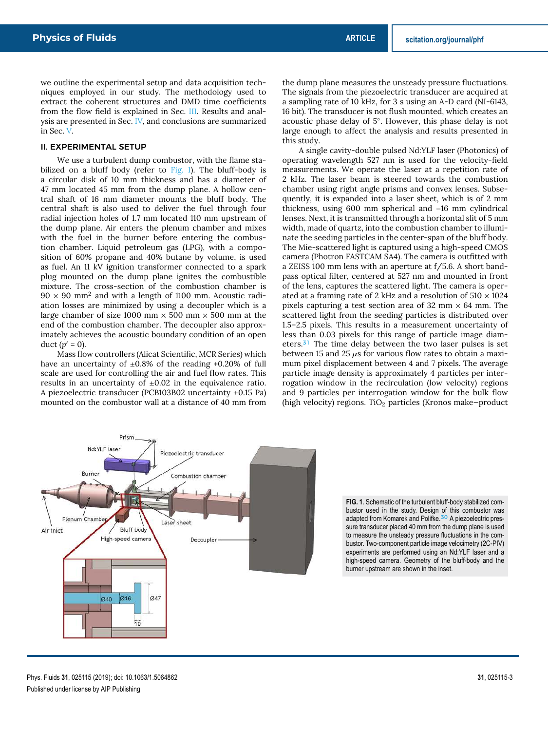we outline the experimental setup and data acquisition techniques employed in our study. The methodology used to extract the coherent structures and DMD time coefficients from the flow field is explained in Sec. III. Results and analysis are presented in Sec. IV, and conclusions are summarized in Sec. V.

# II. EXPERIMENTAL SETUP

We use a turbulent dump combustor, with the flame stabilized on a bluff body (refer to Fig. 1). The bluff-body is a circular disk of 10 mm thickness and has a diameter of 47 mm located 45 mm from the dump plane. A hollow central shaft of 16 mm diameter mounts the bluff body. The central shaft is also used to deliver the fuel through four radial injection holes of 1.7 mm located 110 mm upstream of the dump plane. Air enters the plenum chamber and mixes with the fuel in the burner before entering the combustion chamber. Liquid petroleum gas (LPG), with a composition of 60% propane and 40% butane by volume, is used as fuel. An 11 kV ignition transformer connected to a spark plug mounted on the dump plane ignites the combustible mixture. The cross-section of the combustion chamber is  $90 \times 90$  mm<sup>2</sup> and with a length of 1100 mm. Acoustic radiation losses are minimized by using a decoupler which is a large chamber of size 1000 mm  $\times$  500 mm  $\times$  500 mm at the end of the combustion chamber. The decoupler also approximately achieves the acoustic boundary condition of an open duct  $(p' = 0)$ .

Mass flow controllers (Alicat Scientific, MCR Series) which have an uncertainty of  $\pm 0.8\%$  of the reading  $+0.20\%$  of full scale are used for controlling the air and fuel flow rates. This results in an uncertainty of  $\pm 0.02$  in the equivalence ratio. A piezoelectric transducer (PCB103B02 uncertainty  $\pm$ 0.15 Pa) mounted on the combustor wall at a distance of 40 mm from

the dump plane measures the unsteady pressure fluctuations. The signals from the piezoelectric transducer are acquired at a sampling rate of 10 kHz, for 3 s using an A-D card (NI-6143, 16 bit). The transducer is not flush mounted, which creates an acoustic phase delay of 5◦ . However, this phase delay is not large enough to affect the analysis and results presented in this study.

A single cavity-double pulsed Nd:YLF laser (Photonics) of operating wavelength 527 nm is used for the velocity-field measurements. We operate the laser at a repetition rate of 2 kHz. The laser beam is steered towards the combustion chamber using right angle prisms and convex lenses. Subsequently, it is expanded into a laser sheet, which is of 2 mm thickness, using 600 mm spherical and −16 mm cylindrical lenses. Next, it is transmitted through a horizontal slit of 5 mm width, made of quartz, into the combustion chamber to illuminate the seeding particles in the center-span of the bluff body. The Mie-scattered light is captured using a high-speed CMOS camera (Photron FASTCAM SA4). The camera is outfitted with a ZEISS 100 mm lens with an aperture at f/5.6. A short bandpass optical filter, centered at 527 nm and mounted in front of the lens, captures the scattered light. The camera is operated at a framing rate of 2 kHz and a resolution of  $510\times1024$ pixels capturing a test section area of 32 mm  $\times$  64 mm. The scattered light from the seeding particles is distributed over 1.5–2.5 pixels. This results in a measurement uncertainty of less than 0.03 pixels for this range of particle image diameters.<sup>31</sup> The time delay between the two laser pulses is set between 15 and 25  $\mu$ s for various flow rates to obtain a maximum pixel displacement between 4 and 7 pixels. The average particle image density is approximately 4 particles per interrogation window in the recirculation (low velocity) regions and 9 particles per interrogation window for the bulk flow (high velocity) regions.  $TiO<sub>2</sub>$  particles (Kronos make–product



**FIG. 1**. Schematic of the turbulent bluff-body stabilized combustor used in the study. Design of this combustor was adapted from Komarek and Polifke.<sup>30</sup> A piezoelectric pressure transducer placed 40 mm from the dump plane is used to measure the unsteady pressure fluctuations in the combustor. Two-component particle image velocimetry (2C-PIV) experiments are performed using an Nd:YLF laser and a high-speed camera. Geometry of the bluff-body and the burner upstream are shown in the inset.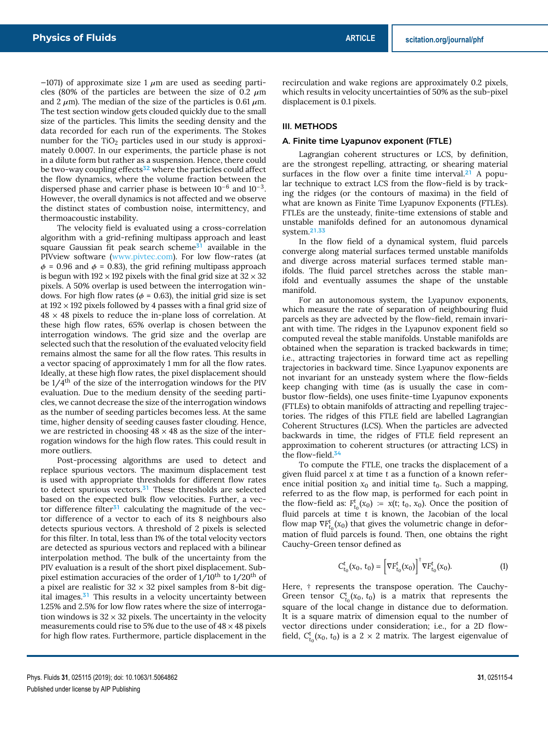$-1071$ ) of approximate size 1  $\mu$ m are used as seeding particles (80% of the particles are between the size of 0.2  $\mu$ m and 2  $\mu$ m). The median of the size of the particles is 0.61  $\mu$ m. The test section window gets clouded quickly due to the small size of the particles. This limits the seeding density and the data recorded for each run of the experiments. The Stokes number for the  $TiO<sub>2</sub>$  particles used in our study is approximately 0.0007. In our experiments, the particle phase is not in a dilute form but rather as a suspension. Hence, there could be two-way coupling effects<sup>32</sup> where the particles could affect the flow dynamics, where the volume fraction between the dispersed phase and carrier phase is between  $10^{-6}$  and  $10^{-3}$ . However, the overall dynamics is not affected and we observe the distinct states of combustion noise, intermittency, and thermoacoustic instability.

The velocity field is evaluated using a cross-correlation algorithm with a grid-refining multipass approach and least square Gaussian fit peak search scheme<sup>31</sup> available in the PIVview software (www.pivtec.com). For low flow-rates (at  $\phi$  = 0.96 and  $\phi$  = 0.83), the grid refining multipass approach is begun with 192  $\times$  192 pixels with the final grid size at 32  $\times$  32 pixels. A 50% overlap is used between the interrogation windows. For high flow rates ( $\phi$  = 0.63), the initial grid size is set at  $192 \times 192$  pixels followed by 4 passes with a final grid size of  $48 \times 48$  pixels to reduce the in-plane loss of correlation. At these high flow rates, 65% overlap is chosen between the interrogation windows. The grid size and the overlap are selected such that the resolution of the evaluated velocity field remains almost the same for all the flow rates. This results in a vector spacing of approximately 1 mm for all the flow rates. Ideally, at these high flow rates, the pixel displacement should be  $1/4<sup>th</sup>$  of the size of the interrogation windows for the PIV evaluation. Due to the medium density of the seeding particles, we cannot decrease the size of the interrogation windows as the number of seeding particles becomes less. At the same time, higher density of seeding causes faster clouding. Hence, we are restricted in choosing  $48 \times 48$  as the size of the interrogation windows for the high flow rates. This could result in more outliers.

Post-processing algorithms are used to detect and replace spurious vectors. The maximum displacement test is used with appropriate thresholds for different flow rates to detect spurious vectors.<sup>31</sup> These thresholds are selected based on the expected bulk flow velocities. Further, a vector difference filter<sup>31</sup> calculating the magnitude of the vector difference of a vector to each of its 8 neighbours also detects spurious vectors. A threshold of 2 pixels is selected for this filter. In total, less than 1% of the total velocity vectors are detected as spurious vectors and replaced with a bilinear interpolation method. The bulk of the uncertainty from the PIV evaluation is a result of the short pixel displacement. Subpixel estimation accuracies of the order of  $1/10^{th}$  to  $1/20^{th}$  of a pixel are realistic for  $32 \times 32$  pixel samples from 8-bit digital images.<sup>31</sup> This results in a velocity uncertainty between 1.25% and 2.5% for low flow rates where the size of interrogation windows is  $32 \times 32$  pixels. The uncertainty in the velocity measurements could rise to 5% due to the use of 48 × 48 pixels for high flow rates. Furthermore, particle displacement in the

recirculation and wake regions are approximately 0.2 pixels, which results in velocity uncertainties of 50% as the sub-pixel displacement is 0.1 pixels.

## III. METHODS

## A. Finite time Lyapunov exponent (FTLE)

Lagrangian coherent structures or LCS, by definition, are the strongest repelling, attracting, or shearing material surfaces in the flow over a finite time interval.<sup>21</sup> A popular technique to extract LCS from the flow-field is by tracking the ridges (or the contours of maxima) in the field of what are known as Finite Time Lyapunov Exponents (FTLEs). FTLEs are the unsteady, finite-time extensions of stable and unstable manifolds defined for an autonomous dynamical system.21,33

In the flow field of a dynamical system, fluid parcels converge along material surfaces termed unstable manifolds and diverge across material surfaces termed stable manifolds. The fluid parcel stretches across the stable manifold and eventually assumes the shape of the unstable manifold.

For an autonomous system, the Lyapunov exponents, which measure the rate of separation of neighbouring fluid parcels as they are advected by the flow-field, remain invariant with time. The ridges in the Lyapunov exponent field so computed reveal the stable manifolds. Unstable manifolds are obtained when the separation is tracked backwards in time; i.e., attracting trajectories in forward time act as repelling trajectories in backward time. Since Lyapunov exponents are not invariant for an unsteady system where the flow-fields keep changing with time (as is usually the case in combustor flow-fields), one uses finite-time Lyapunov exponents (FTLEs) to obtain manifolds of attracting and repelling trajectories. The ridges of this FTLE field are labelled Lagrangian Coherent Structures (LCS). When the particles are advected backwards in time, the ridges of FTLE field represent an approximation to coherent structures (or attracting LCS) in the flow-field.<sup>34</sup>

To compute the FTLE, one tracks the displacement of a given fluid parcel *x* at time *t* as a function of a known reference initial position  $x_0$  and initial time  $t_0$ . Such a mapping, referred to as the flow map, is performed for each point in the flow-field as:  $F_{t_0}^t(x_0) = x(t; t_0, x_0)$ . Once the position of fluid parcels at time *t* is known, the Jacobian of the local flow map  $\nabla F_{t_0}^t(x_0)$  that gives the volumetric change in deformation of fluid parcels is found. Then, one obtains the right Cauchy-Green tensor defined as

$$
C_{t_0}^t(x_0, t_0) = \left[\nabla F_{t_0}^t(x_0)\right]^\dagger \nabla F_{t_0}^t(x_0).
$$
 (1)

Here, † represents the transpose operation. The Cauchy-Green tensor  $C_{t_0}^t(x_0, t_0)$  is a matrix that represents the square of the local change in distance due to deformation. It is a square matrix of dimension equal to the number of vector directions under consideration; i.e., for a 2D flowfield,  $C_{t_0}^t(x_0, t_0)$  is a 2  $\times$  2 matrix. The largest eigenvalue of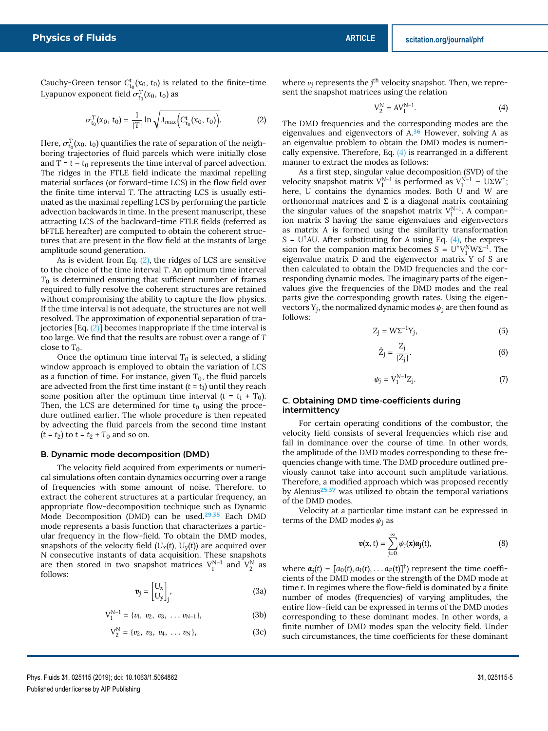Cauchy-Green tensor  $C_{t_0}^t(x_0, t_0)$  is related to the finite-time Lyapunov exponent field  $\sigma_{t_0}^T(x_0, t_0)$  as

$$
\sigma_{t_0}^{\mathrm{T}}(x_0, t_0) = \frac{1}{|T|} \ln \sqrt{\lambda_{\text{max}} \Big( C_{t_0}^{\mathrm{t}}(x_0, t_0) \Big)}. \tag{2}
$$

Here,  $\sigma_{\rm t_0}^{\rm T}(x_0,t_0)$  quantifies the rate of separation of the neighboring trajectories of fluid parcels which were initially close and  $T = t - t_0$  represents the time interval of parcel advection. The ridges in the FTLE field indicate the maximal repelling material surfaces (or forward-time LCS) in the flow field over the finite time interval *T*. The attracting LCS is usually estimated as the maximal repelling LCS by performing the particle advection backwards in time. In the present manuscript, these attracting LCS of the backward-time FTLE fields (referred as bFTLE hereafter) are computed to obtain the coherent structures that are present in the flow field at the instants of large amplitude sound generation.

As is evident from Eq. (2), the ridges of LCS are sensitive to the choice of the time interval *T*. An optimum time interval *T*<sup>0</sup> is determined ensuring that sufficient number of frames required to fully resolve the coherent structures are retained without compromising the ability to capture the flow physics. If the time interval is not adequate, the structures are not well resolved. The approximation of exponential separation of trajectories [Eq. (2)] becomes inappropriate if the time interval is too large. We find that the results are robust over a range of *T* close to  $T_0$ .

Once the optimum time interval  $T_0$  is selected, a sliding window approach is employed to obtain the variation of LCS as a function of time. For instance, given  $T_0$ , the fluid parcels are advected from the first time instant ( $t = t_1$ ) until they reach some position after the optimum time interval  $(t = t_1 + T_0)$ . Then, the LCS are determined for time  $t_0$  using the procedure outlined earlier. The whole procedure is then repeated by advecting the fluid parcels from the second time instant  $(t = t_2)$  to  $t = t_2 + T_0$  and so on.

#### B. Dynamic mode decomposition (DMD)

The velocity field acquired from experiments or numerical simulations often contain dynamics occurring over a range of frequencies with some amount of noise. Therefore, to extract the coherent structures at a particular frequency, an appropriate flow-decomposition technique such as Dynamic Mode Decomposition (DMD) can be used.29,35 Each DMD mode represents a basis function that characterizes a particular frequency in the flow-field. To obtain the DMD modes, snapshots of the velocity field  $(U_x(t), U_y(t))$  are acquired over *N* consecutive instants of data acquisition. These snapshots are then stored in two snapshot matrices  $V_1^{N-1}$  and  $V_2^N$  as follows:

$$
\mathbf{v}_{j} = \begin{bmatrix} U_{x} \\ U_{y} \end{bmatrix}_{j}, \tag{3a}
$$

$$
V_1^{N-1} = \{v_1, v_2, v_3, \dots v_{N-1}\},\tag{3b}
$$

$$
V_2^N = \{v_2, v_3, v_4, \ldots v_N\},\tag{3c}
$$

where  $v_j$  represents the  $j^{\text{th}}$  velocity snapshot. Then, we represent the snapshot matrices using the relation

$$
V_2^N = AV_1^{N-1}.
$$
 (4)

The DMD frequencies and the corresponding modes are the eigenvalues and eigenvectors of *A*. <sup>36</sup> However, solving *A* as an eigenvalue problem to obtain the DMD modes is numerically expensive. Therefore, Eq.  $(4)$  is rearranged in a different manner to extract the modes as follows:

As a first step, singular value decomposition (SVD) of the velocity snapshot matrix  $V_1^{N-1}$  is performed as  $V_1^{N-1} = U\Sigma W^{\dagger}$ ; here, *U* contains the dynamics modes. Both *U* and *W* are orthonormal matrices and  $\Sigma$  is a diagonal matrix containing the singular values of the snapshot matrix  $V_1^{N-1}$ . A companion matrix *S* having the same eigenvalues and eigenvectors as matrix *A* is formed using the similarity transformation  $S = U^{\dagger}AU$ . After substituting for *A* using Eq. (4), the expression for the companion matrix becomes  $S = U^{\dagger}V_1^N W \Sigma^{-1}$ . The eigenvalue matrix *D* and the eigenvector matrix *Y* of *S* are then calculated to obtain the DMD frequencies and the corresponding dynamic modes. The imaginary parts of the eigenvalues give the frequencies of the DMD modes and the real parts give the corresponding growth rates. Using the eigenvectors  $\mathbf{Y}_\mathrm{j},$  the normalized dynamic modes  $\psi_\mathrm{j}$  are then found as follows:

$$
Z_j = W\Sigma^{-1}Y_j,\tag{5}
$$

$$
\hat{Z}_j = \frac{Z_j}{|Z_j|}.\tag{6}
$$

$$
\psi_j = \mathbf{V}_1^{\mathbf{N}-1} \mathbf{Z}_j. \tag{7}
$$

# C. Obtaining DMD time-coefficients during intermittency

For certain operating conditions of the combustor, the velocity field consists of several frequencies which rise and fall in dominance over the course of time. In other words, the amplitude of the DMD modes corresponding to these frequencies change with time. The DMD procedure outlined previously cannot take into account such amplitude variations. Therefore, a modified approach which was proposed recently by Alenius<sup>25,37</sup> was utilized to obtain the temporal variations of the DMD modes.

Velocity at a particular time instant can be expressed in terms of the DMD modes  $\psi_i$  as

$$
\mathbf{v}(\mathbf{x},t)=\sum_{j=0}^{\infty}\psi_j(\mathbf{x})\mathbf{a}_j(t),\tag{8}
$$

where  $a_j(t) = [a_0(t), a_1(t), \dots a_p(t)]^{\dagger}$  represent the time coefficients of the DMD modes or the strength of the DMD mode at time *t*. In regimes where the flow-field is dominated by a finite number of modes (frequencies) of varying amplitudes, the entire flow-field can be expressed in terms of the DMD modes corresponding to these dominant modes. In other words, a finite number of DMD modes span the velocity field. Under such circumstances, the time coefficients for these dominant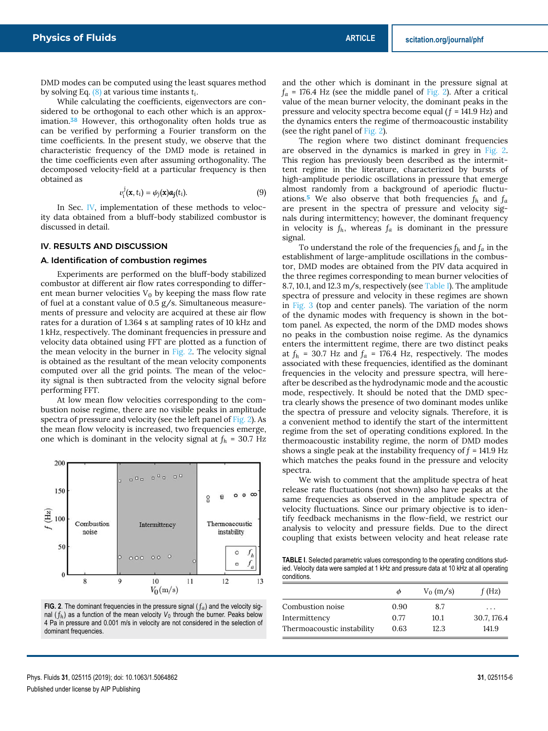DMD modes can be computed using the least squares method by solving Eq. (8) at various time instants *t<sup>i</sup>* .

While calculating the coefficients, eigenvectors are considered to be orthogonal to each other which is an approximation.<sup>38</sup> However, this orthogonality often holds true as can be verified by performing a Fourier transform on the time coefficients. In the present study, we observe that the characteristic frequency of the DMD mode is retained in the time coefficients even after assuming orthogonality. The decomposed velocity-field at a particular frequency is then obtained as

$$
v_i^j(\mathbf{x},t_i) = \psi_j(\mathbf{x})\mathbf{a}_j(t_i). \tag{9}
$$

In Sec. IV, implementation of these methods to velocity data obtained from a bluff-body stabilized combustor is discussed in detail.

# IV. RESULTS AND DISCUSSION

### A. Identification of combustion regimes

Experiments are performed on the bluff-body stabilized combustor at different air flow rates corresponding to different mean burner velocities  $V_0$  by keeping the mass flow rate of fuel at a constant value of 0.5 g/s. Simultaneous measurements of pressure and velocity are acquired at these air flow rates for a duration of 1.364 s at sampling rates of 10 kHz and 1 kHz, respectively. The dominant frequencies in pressure and velocity data obtained using FFT are plotted as a function of the mean velocity in the burner in Fig. 2. The velocity signal is obtained as the resultant of the mean velocity components computed over all the grid points. The mean of the velocity signal is then subtracted from the velocity signal before performing FFT.

At low mean flow velocities corresponding to the combustion noise regime, there are no visible peaks in amplitude spectra of pressure and velocity (see the left panel of Fig. 2). As the mean flow velocity is increased, two frequencies emerge, one which is dominant in the velocity signal at  $f_h$  = 30.7 Hz



**FIG. 2**. The dominant frequencies in the pressure signal ( $f_a$ ) and the velocity signal  $(f_h)$  as a function of the mean velocity  $\mathsf{V}_0$  through the burner. Peaks below 4 Pa in pressure and 0.001 m/s in velocity are not considered in the selection of dominant frequencies.

and the other which is dominant in the pressure signal at  $f_a$  = 176.4 Hz (see the middle panel of Fig. 2). After a critical value of the mean burner velocity, the dominant peaks in the pressure and velocity spectra become equal ( *f* = 141.9 Hz) and the dynamics enters the regime of thermoacoustic instability (see the right panel of Fig. 2).

The region where two distinct dominant frequencies are observed in the dynamics is marked in grey in Fig. 2. This region has previously been described as the intermittent regime in the literature, characterized by bursts of high-amplitude periodic oscillations in pressure that emerge almost randomly from a background of aperiodic fluctuations.<sup>5</sup> We also observe that both frequencies  $f_h$  and  $f_a$ are present in the spectra of pressure and velocity signals during intermittency; however, the dominant frequency in velocity is  $f_h$ , whereas  $f_a$  is dominant in the pressure signal.

To understand the role of the frequencies  $f_h$  and  $f_a$  in the establishment of large-amplitude oscillations in the combustor, DMD modes are obtained from the PIV data acquired in the three regimes corresponding to mean burner velocities of 8.7, 10.1, and 12.3 m/s, respectively (see Table I). The amplitude spectra of pressure and velocity in these regimes are shown in Fig. 3 (top and center panels). The variation of the norm of the dynamic modes with frequency is shown in the bottom panel. As expected, the norm of the DMD modes shows no peaks in the combustion noise regime. As the dynamics enters the intermittent regime, there are two distinct peaks at  $f_h$  = 30.7 Hz and  $f_a$  = 176.4 Hz, respectively. The modes associated with these frequencies, identified as the dominant frequencies in the velocity and pressure spectra, will hereafter be described as the hydrodynamic mode and the acoustic mode, respectively. It should be noted that the DMD spectra clearly shows the presence of two dominant modes unlike the spectra of pressure and velocity signals. Therefore, it is a convenient method to identify the start of the intermittent regime from the set of operating conditions explored. In the thermoacoustic instability regime, the norm of DMD modes shows a single peak at the instability frequency of *f* = 141.9 Hz which matches the peaks found in the pressure and velocity spectra.

We wish to comment that the amplitude spectra of heat release rate fluctuations (not shown) also have peaks at the same frequencies as observed in the amplitude spectra of velocity fluctuations. Since our primary objective is to identify feedback mechanisms in the flow-field, we restrict our analysis to velocity and pressure fields. Due to the direct coupling that exists between velocity and heat release rate

**TABLE I**. Selected parametric values corresponding to the operating conditions studied. Velocity data were sampled at 1 kHz and pressure data at 10 kHz at all operating conditions.

|                            | Φ    | $V_0$ (m/s) | f(Hz)       |
|----------------------------|------|-------------|-------------|
| Combustion noise           | 0.90 | 8.7         | .           |
| Intermittency              | 0.77 | 10.1        | 30.7, 176.4 |
| Thermoacoustic instability | 0.63 | 12.3        | 141.9       |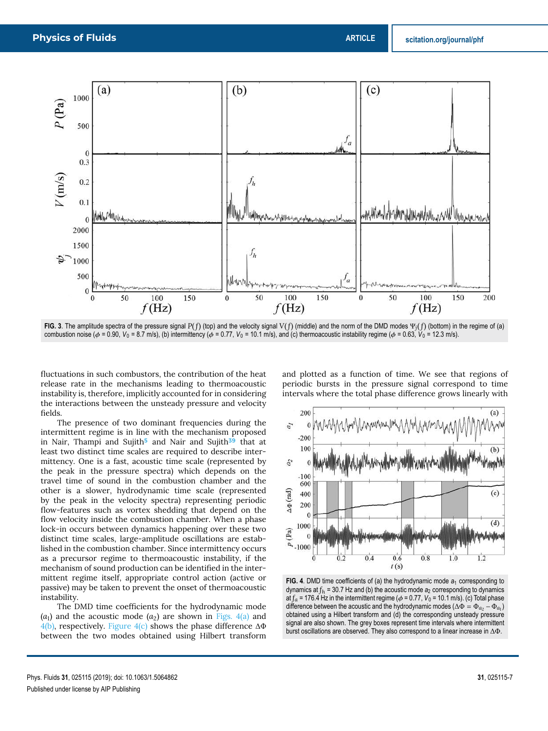

**FIG. 3**. The amplitude spectra of the pressure signal *P*( *f*) (top) and the velocity signal *V*( *f*) (middle) and the norm of the DMD modes Ψ*<sup>j</sup>* ( *f*) (bottom) in the regime of (a) combustion noise ( $\phi$  = 0.90,  $V_0$  = 8.7 m/s), (b) intermittency ( $\phi$  = 0.77,  $V_0$  = 10.1 m/s), and (c) thermoacoustic instability regime ( $\phi$  = 0.63,  $V_0$  = 12.3 m/s).

fluctuations in such combustors, the contribution of the heat release rate in the mechanisms leading to thermoacoustic instability is, therefore, implicitly accounted for in considering the interactions between the unsteady pressure and velocity fields.

The presence of two dominant frequencies during the intermittent regime is in line with the mechanism proposed in Nair, Thampi and Sujith<sup>5</sup> and Nair and Sujith<sup>39</sup> that at least two distinct time scales are required to describe intermittency. One is a fast, acoustic time scale (represented by the peak in the pressure spectra) which depends on the travel time of sound in the combustion chamber and the other is a slower, hydrodynamic time scale (represented by the peak in the velocity spectra) representing periodic flow-features such as vortex shedding that depend on the flow velocity inside the combustion chamber. When a phase lock-in occurs between dynamics happening over these two distinct time scales, large-amplitude oscillations are established in the combustion chamber. Since intermittency occurs as a precursor regime to thermoacoustic instability, if the mechanism of sound production can be identified in the intermittent regime itself, appropriate control action (active or passive) may be taken to prevent the onset of thermoacoustic instability.

The DMD time coefficients for the hydrodynamic mode  $(a_1)$  and the acoustic mode  $(a_2)$  are shown in Figs.  $4(a)$  and 4(b), respectively. Figure 4(c) shows the phase difference ∆Φ between the two modes obtained using Hilbert transform and plotted as a function of time. We see that regions of periodic bursts in the pressure signal correspond to time intervals where the total phase difference grows linearly with



**FIG. 4.** DMD time coefficients of (a) the hydrodynamic mode  $a_1$  corresponding to dynamics at  $f_h$  = 30.7 Hz and (b) the acoustic mode  $a_2$  corresponding to dynamics at  $f_a$  = 176.4 Hz in the intermittent regime ( $\phi$  = 0.77,  $V_0$  = 10.1 m/s). (c) Total phase difference between the acoustic and the hydrodynamic modes ( $\Delta\Phi=\Phi_{a_2}-\Phi_{a_1}$ ) obtained using a Hilbert transform and (d) the corresponding unsteady pressure signal are also shown. The grey boxes represent time intervals where intermittent burst oscillations are observed. They also correspond to a linear increase in ∆Φ.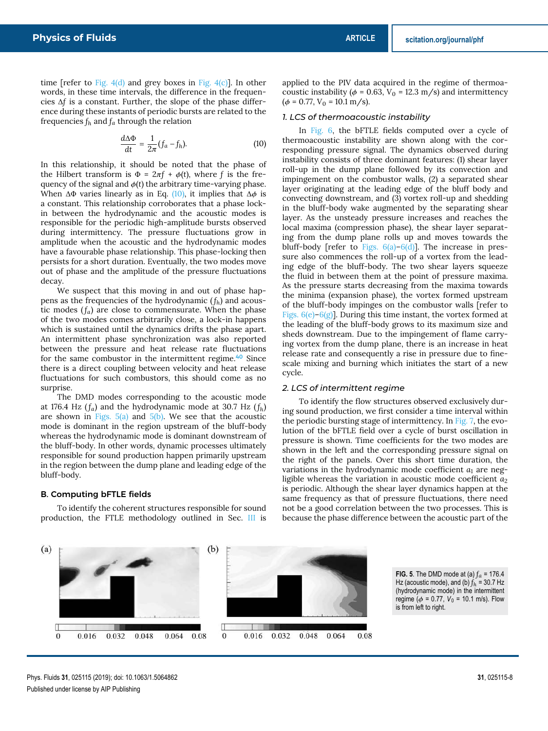time [refer to Fig. 4(d) and grey boxes in Fig. 4(c)]. In other words, in these time intervals, the difference in the frequencies ∆*f* is a constant. Further, the slope of the phase difference during these instants of periodic bursts are related to the frequencies  $f_h$  and  $f_a$  through the relation

$$
\frac{d\Delta\Phi}{dt} = \frac{1}{2\pi}(f_a - f_h). \tag{10}
$$

In this relationship, it should be noted that the phase of the Hilbert transform is  $\Phi = 2\pi f + \phi(t)$ , where f is the frequency of the signal and  $\phi(t)$  the arbitrary time-varying phase. When  $\Delta\Phi$  varies linearly as in Eq. (10), it implies that  $\Delta\phi$  is a constant. This relationship corroborates that a phase lockin between the hydrodynamic and the acoustic modes is responsible for the periodic high-amplitude bursts observed during intermittency. The pressure fluctuations grow in amplitude when the acoustic and the hydrodynamic modes have a favourable phase relationship. This phase-locking then persists for a short duration. Eventually, the two modes move out of phase and the amplitude of the pressure fluctuations decay.

We suspect that this moving in and out of phase happens as the frequencies of the hydrodynamic ( *fh*) and acoustic modes  $(f_a)$  are close to commensurate. When the phase of the two modes comes arbitrarily close, a lock-in happens which is sustained until the dynamics drifts the phase apart. An intermittent phase synchronization was also reported between the pressure and heat release rate fluctuations for the same combustor in the intermittent regime.<sup>40</sup> Since there is a direct coupling between velocity and heat release fluctuations for such combustors, this should come as no surprise.

The DMD modes corresponding to the acoustic mode at 176.4 Hz  $(f_a)$  and the hydrodynamic mode at 30.7 Hz  $(f_h)$ are shown in Figs.  $5(a)$  and  $5(b)$ . We see that the acoustic mode is dominant in the region upstream of the bluff-body whereas the hydrodynamic mode is dominant downstream of the bluff-body. In other words, dynamic processes ultimately responsible for sound production happen primarily upstream in the region between the dump plane and leading edge of the bluff-body.

### B. Computing bFTLE fields

To identify the coherent structures responsible for sound production, the FTLE methodology outlined in Sec. III is applied to the PIV data acquired in the regime of thermoacoustic instability ( $\phi$  = 0.63,  $V_0$  = 12.3 m/s) and intermittency  $(\phi = 0.77, V_0 = 10.1 \text{ m/s}).$ 

# *1. LCS of thermoacoustic instability*

In Fig. 6, the bFTLE fields computed over a cycle of thermoacoustic instability are shown along with the corresponding pressure signal. The dynamics observed during instability consists of three dominant features: (1) shear layer roll-up in the dump plane followed by its convection and impingement on the combustor walls, (2) a separated shear layer originating at the leading edge of the bluff body and convecting downstream, and (3) vortex roll-up and shedding in the bluff-body wake augmented by the separating shear layer. As the unsteady pressure increases and reaches the local maxima (compression phase), the shear layer separating from the dump plane rolls up and moves towards the bluff-body [refer to Figs.  $6(a)$ - $6(d)$ ]. The increase in pressure also commences the roll-up of a vortex from the leading edge of the bluff-body. The two shear layers squeeze the fluid in between them at the point of pressure maxima. As the pressure starts decreasing from the maxima towards the minima (expansion phase), the vortex formed upstream of the bluff-body impinges on the combustor walls [refer to Figs.  $6(e) - 6(g)$ ]. During this time instant, the vortex formed at the leading of the bluff-body grows to its maximum size and sheds downstream. Due to the impingement of flame carrying vortex from the dump plane, there is an increase in heat release rate and consequently a rise in pressure due to finescale mixing and burning which initiates the start of a new cycle.

#### *2. LCS of intermittent regime*

To identify the flow structures observed exclusively during sound production, we first consider a time interval within the periodic bursting stage of intermittency. In Fig. 7, the evolution of the bFTLE field over a cycle of burst oscillation in pressure is shown. Time coefficients for the two modes are shown in the left and the corresponding pressure signal on the right of the panels. Over this short time duration, the variations in the hydrodynamic mode coefficient  $a_1$  are negligible whereas the variation in acoustic mode coefficient  $a_2$ is periodic. Although the shear layer dynamics happen at the same frequency as that of pressure fluctuations, there need not be a good correlation between the two processes. This is because the phase difference between the acoustic part of the



**FIG. 5**. The DMD mode at (a)  $f_a$  = 176.4 Hz (acoustic mode), and (b)  $f_h$  = 30.7 Hz (hydrodynamic mode) in the intermittent regime ( $\phi$  = 0.77,  $V_0$  = 10.1 m/s). Flow is from left to right.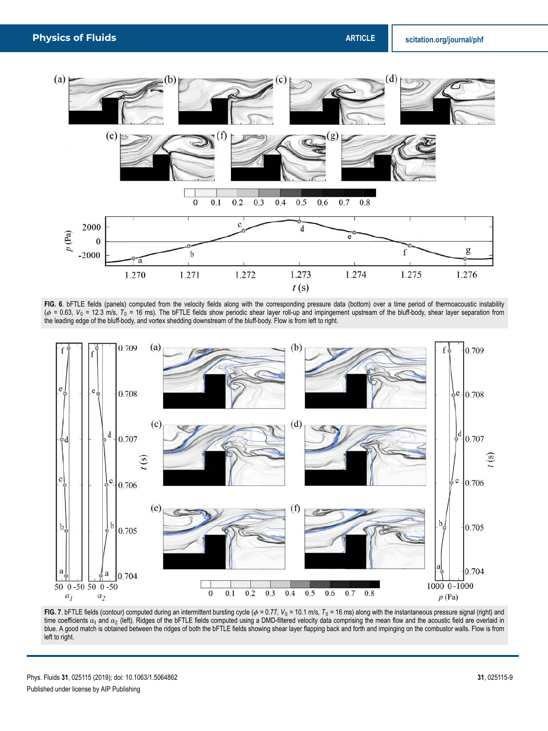

FIG. 6. bFTLE fields (panels) computed from the velocity fields along with the corresponding pressure data (bottom) over a time period of thermoacoustic instability (φ = 0.63, *V*<sup>0</sup> = 12.3 m/s, *T*<sup>0</sup> = 16 ms). The bFTLE fields show periodic shear layer roll-up and impingement upstream of the bluff-body, shear layer separation from the leading edge of the bluff-body, and vortex shedding downstream of the bluff-body. Flow is from left to right.



**FIG.** 7. bFTLE fields (contour) computed during an intermittent bursting cycle ( $\phi$  = 0.77,  $V_0$  = 10.1 m/s,  $T_0$  = 16 ms) along with the instantaneous pressure signal (right) and time coefficients  $a_1$  and  $a_2$  (left). Ridges of the bFTLE fields computed using a DMD-filtered velocity data comprising the mean flow and the acoustic field are overlaid in blue. A good match is obtained between the ridges of both the bFTLE fields showing shear layer flapping back and forth and impinging on the combustor walls. Flow is from left to right.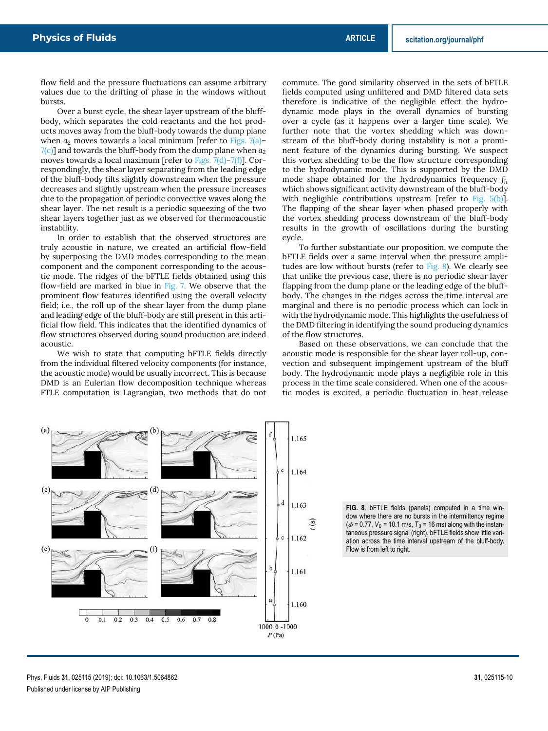flow field and the pressure fluctuations can assume arbitrary values due to the drifting of phase in the windows without bursts.

Over a burst cycle, the shear layer upstream of the bluffbody, which separates the cold reactants and the hot products moves away from the bluff-body towards the dump plane when  $a_2$  moves towards a local minimum [refer to Figs. 7(a)–  $7(c)$ ] and towards the bluff-body from the dump plane when  $a_2$ moves towards a local maximum [refer to Figs. 7(d)–7(f)]. Correspondingly, the shear layer separating from the leading edge of the bluff-body tilts slightly downstream when the pressure decreases and slightly upstream when the pressure increases due to the propagation of periodic convective waves along the shear layer. The net result is a periodic squeezing of the two shear layers together just as we observed for thermoacoustic instability.

In order to establish that the observed structures are truly acoustic in nature, we created an artificial flow-field by superposing the DMD modes corresponding to the mean component and the component corresponding to the acoustic mode. The ridges of the bFTLE fields obtained using this flow-field are marked in blue in Fig. 7. We observe that the prominent flow features identified using the overall velocity field; i.e., the roll up of the shear layer from the dump plane and leading edge of the bluff-body are still present in this artificial flow field. This indicates that the identified dynamics of flow structures observed during sound production are indeed acoustic.

We wish to state that computing bFTLE fields directly from the individual filtered velocity components (for instance, the acoustic mode) would be usually incorrect. This is because DMD is an Eulerian flow decomposition technique whereas FTLE computation is Lagrangian, two methods that do not

commute. The good similarity observed in the sets of bFTLE fields computed using unfiltered and DMD filtered data sets therefore is indicative of the negligible effect the hydrodynamic mode plays in the overall dynamics of bursting over a cycle (as it happens over a larger time scale). We further note that the vortex shedding which was downstream of the bluff-body during instability is not a prominent feature of the dynamics during bursting. We suspect this vortex shedding to be the flow structure corresponding to the hydrodynamic mode. This is supported by the DMD mode shape obtained for the hydrodynamics frequency *f<sup>h</sup>* which shows significant activity downstream of the bluff-body with negligible contributions upstream [refer to Fig. 5(b)]. The flapping of the shear layer when phased properly with the vortex shedding process downstream of the bluff-body results in the growth of oscillations during the bursting cycle.

To further substantiate our proposition, we compute the bFTLE fields over a same interval when the pressure amplitudes are low without bursts (refer to Fig. 8). We clearly see that unlike the previous case, there is no periodic shear layer flapping from the dump plane or the leading edge of the bluffbody. The changes in the ridges across the time interval are marginal and there is no periodic process which can lock in with the hydrodynamic mode. This highlights the usefulness of the DMD filtering in identifying the sound producing dynamics of the flow structures.

Based on these observations, we can conclude that the acoustic mode is responsible for the shear layer roll-up, convection and subsequent impingement upstream of the bluff body. The hydrodynamic mode plays a negligible role in this process in the time scale considered. When one of the acoustic modes is excited, a periodic fluctuation in heat release



**FIG. 8**. bFTLE fields (panels) computed in a time window where there are no bursts in the intermittency regime  $(\phi = 0.77, V_0 = 10.1 \text{ m/s}, T_0 = 16 \text{ ms})$  along with the instantaneous pressure signal (right). bFTLE fields show little variation across the time interval upstream of the bluff-body. Flow is from left to right.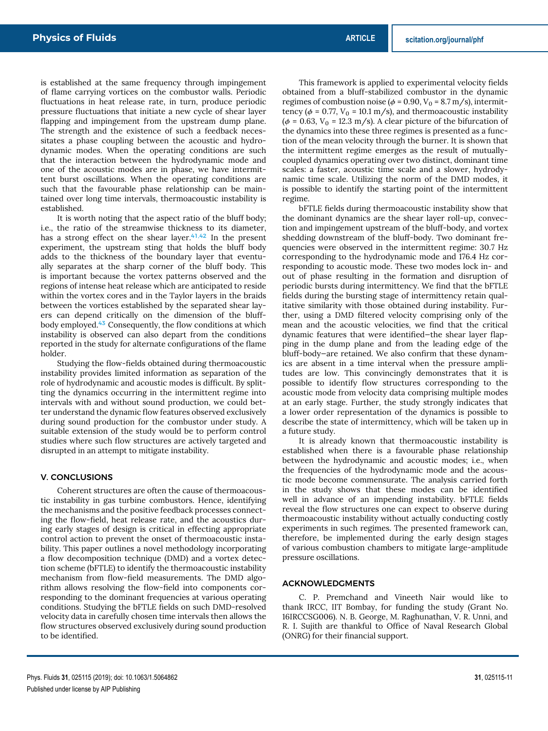is established at the same frequency through impingement of flame carrying vortices on the combustor walls. Periodic fluctuations in heat release rate, in turn, produce periodic pressure fluctuations that initiate a new cycle of shear layer flapping and impingement from the upstream dump plane. The strength and the existence of such a feedback necessitates a phase coupling between the acoustic and hydrodynamic modes. When the operating conditions are such that the interaction between the hydrodynamic mode and one of the acoustic modes are in phase, we have intermittent burst oscillations. When the operating conditions are such that the favourable phase relationship can be maintained over long time intervals, thermoacoustic instability is established.

It is worth noting that the aspect ratio of the bluff body; i.e., the ratio of the streamwise thickness to its diameter, has a strong effect on the shear layer.<sup>41,42</sup> In the present experiment, the upstream sting that holds the bluff body adds to the thickness of the boundary layer that eventually separates at the sharp corner of the bluff body. This is important because the vortex patterns observed and the regions of intense heat release which are anticipated to reside within the vortex cores and in the Taylor layers in the braids between the vortices established by the separated shear layers can depend critically on the dimension of the bluffbody employed.<sup>43</sup> Consequently, the flow conditions at which instability is observed can also depart from the conditions reported in the study for alternate configurations of the flame holder.

Studying the flow-fields obtained during thermoacoustic instability provides limited information as separation of the role of hydrodynamic and acoustic modes is difficult. By splitting the dynamics occurring in the intermittent regime into intervals with and without sound production, we could better understand the dynamic flow features observed exclusively during sound production for the combustor under study. A suitable extension of the study would be to perform control studies where such flow structures are actively targeted and disrupted in an attempt to mitigate instability.

## V. CONCLUSIONS

Coherent structures are often the cause of thermoacoustic instability in gas turbine combustors. Hence, identifying the mechanisms and the positive feedback processes connecting the flow-field, heat release rate, and the acoustics during early stages of design is critical in effecting appropriate control action to prevent the onset of thermoacoustic instability. This paper outlines a novel methodology incorporating a flow decomposition technique (DMD) and a vortex detection scheme (bFTLE) to identify the thermoacoustic instability mechanism from flow-field measurements. The DMD algorithm allows resolving the flow-field into components corresponding to the dominant frequencies at various operating conditions. Studying the bFTLE fields on such DMD-resolved velocity data in carefully chosen time intervals then allows the flow structures observed exclusively during sound production to be identified.

This framework is applied to experimental velocity fields obtained from a bluff-stabilized combustor in the dynamic regimes of combustion noise ( $\phi$  = 0.90,  $V_0$  = 8.7 m/s), intermittency ( $\phi$  = 0.77,  $V_0$  = 10.1 m/s), and thermoacoustic instability  $(\phi = 0.63, V_0 = 12.3 \text{ m/s})$ . A clear picture of the bifurcation of the dynamics into these three regimes is presented as a function of the mean velocity through the burner. It is shown that the intermittent regime emerges as the result of mutuallycoupled dynamics operating over two distinct, dominant time scales: a faster, acoustic time scale and a slower, hydrodynamic time scale. Utilizing the norm of the DMD modes, it is possible to identify the starting point of the intermittent regime.

bFTLE fields during thermoacoustic instability show that the dominant dynamics are the shear layer roll-up, convection and impingement upstream of the bluff-body, and vortex shedding downstream of the bluff-body. Two dominant frequencies were observed in the intermittent regime: 30.7 Hz corresponding to the hydrodynamic mode and 176.4 Hz corresponding to acoustic mode. These two modes lock in- and out of phase resulting in the formation and disruption of periodic bursts during intermittency. We find that the bFTLE fields during the bursting stage of intermittency retain qualitative similarity with those obtained during instability. Further, using a DMD filtered velocity comprising only of the mean and the acoustic velocities, we find that the critical dynamic features that were identified—the shear layer flapping in the dump plane and from the leading edge of the bluff-body—are retained. We also confirm that these dynamics are absent in a time interval when the pressure amplitudes are low. This convincingly demonstrates that it is possible to identify flow structures corresponding to the acoustic mode from velocity data comprising multiple modes at an early stage. Further, the study strongly indicates that a lower order representation of the dynamics is possible to describe the state of intermittency, which will be taken up in a future study.

It is already known that thermoacoustic instability is established when there is a favourable phase relationship between the hydrodynamic and acoustic modes; i.e., when the frequencies of the hydrodynamic mode and the acoustic mode become commensurate. The analysis carried forth in the study shows that these modes can be identified well in advance of an impending instability. bFTLE fields reveal the flow structures one can expect to observe during thermoacoustic instability without actually conducting costly experiments in such regimes. The presented framework can, therefore, be implemented during the early design stages of various combustion chambers to mitigate large-amplitude pressure oscillations.

# ACKNOWLEDGMENTS

C. P. Premchand and Vineeth Nair would like to thank IRCC, IIT Bombay, for funding the study (Grant No. 16IRCCSG006). N. B. George, M. Raghunathan, V. R. Unni, and R. I. Sujith are thankful to Office of Naval Research Global (ONRG) for their financial support.